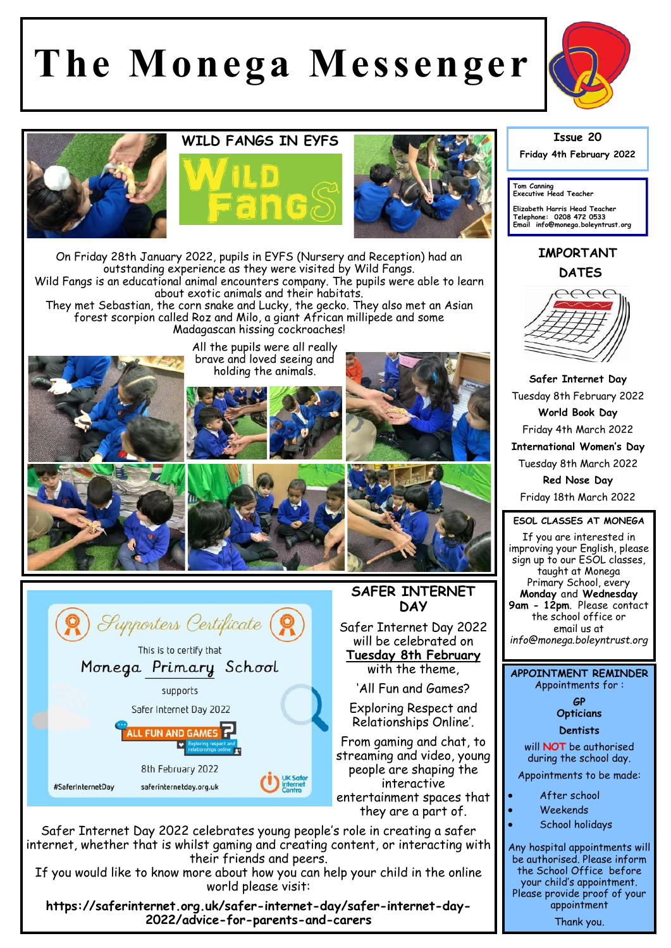# **The Monega Messenger**



## **WILD FANGS IN EYFS**







On Friday 28th January 2022, pupils in EYFS (Nursery and Reception) had an outstanding experience as they were visited by Wild Fangs. Wild Fangs is an educational animal encounters company. The pupils were able to learn about exotic animals and their habitats. They met Sebastian, the corn snake and Lucky, the gecko. They also met an Asian

forest scorpion called Roz and Milo, a giant African millipede and some Madagascan hissing cockroaches!



All the pupils were all really brave and loved seeing and holding the animals.









## **SAFER INTERNET DAY**

Safer Internet Day 2022 will be celebrated on **Tuesday 8th February**  with the theme,

'All Fun and Games?

Exploring Respect and Relationships Online'.

From gaming and chat, to streaming and video, young people are shaping the interactive entertainment spaces that they are a part of.

Safer Internet Day 2022 celebrates young people's role in creating a safer internet, whether that is whilst gaming and creating content, or interacting with their friends and peers.

If you would like to know more about how you can help your child in the online world please visit:

**https://saferinternet.org.uk/safer-internet-day/safer-internet-day-2022/advice-for-parents-and-carers**

#### **Issue 20**

**Friday 4th February 2022** 

**Tom Canning Executive Head Teacher**

**Elizabeth Harris Head Teacher Telephone: 0208 472 0533 Email info@monega.boleyntrust.org** 

## **IMPORTANT DATES**



**Safer Internet Day**  Tuesday 8th February 2022 **World Book Day**  Friday 4th March 2022 **International Women's Day** Tuesday 8th March 2022 **Red Nose Day**  Friday 18th March 2022

### **ESOL CLASSES AT MONEGA**

If you are interested in improving your English, please sign up to our ESOL classes, taught at Monega Primary School, every **Monday** and **Wednesday 9am - 12pm**. Please contact the school office or email us at *info@monega.boleyntrust.org*

**APPOINTMENT REMINDER** Appointments for :

> **GP Opticians**

**Dentists** 

will **NOT** be authorised during the school day.

Appointments to be made:

- After school
- Weekends
- School holidays

Any hospital appointments will be authorised. Please inform the School Office before your child's appointment. Please provide proof of your appointment Thank you.